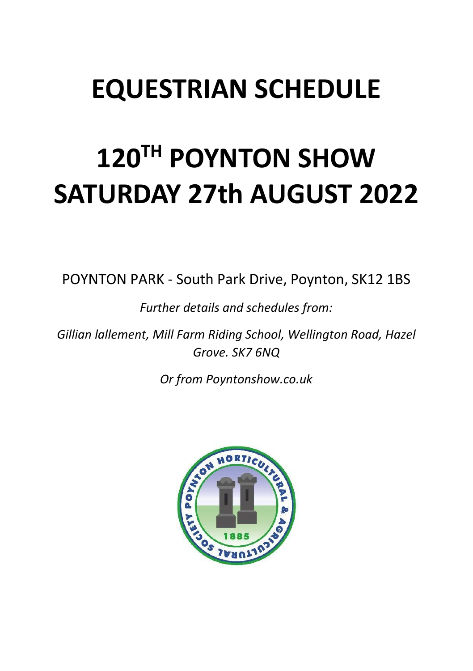# **EQUESTRIAN SCHEDULE**

# **120TH POYNTON SHOW SATURDAY 27th AUGUST 2022**

POYNTON PARK - South Park Drive, Poynton, SK12 1BS

*Further details and schedules from:*

*Gillian lallement, Mill Farm Riding School, Wellington Road, Hazel Grove. SK7 6NQ*

*Or from Poyntonshow.co.uk*

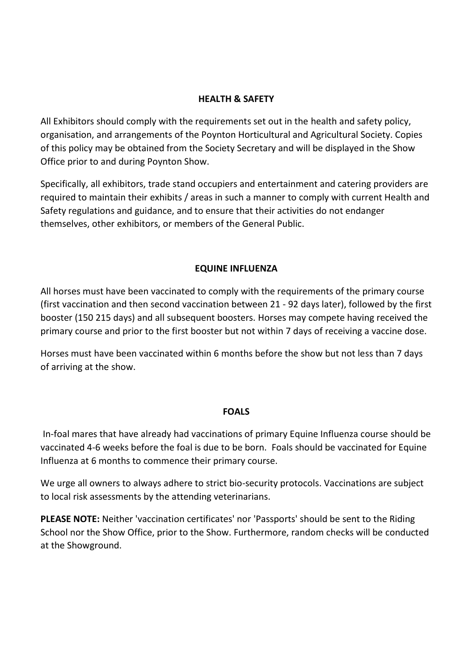#### **HEALTH & SAFETY**

All Exhibitors should comply with the requirements set out in the health and safety policy, organisation, and arrangements of the Poynton Horticultural and Agricultural Society. Copies of this policy may be obtained from the Society Secretary and will be displayed in the Show Office prior to and during Poynton Show.

Specifically, all exhibitors, trade stand occupiers and entertainment and catering providers are required to maintain their exhibits / areas in such a manner to comply with current Health and Safety regulations and guidance, and to ensure that their activities do not endanger themselves, other exhibitors, or members of the General Public.

#### **EQUINE INFLUENZA**

All horses must have been vaccinated to comply with the requirements of the primary course (first vaccination and then second vaccination between 21 - 92 days later), followed by the first booster (150 215 days) and all subsequent boosters. Horses may compete having received the primary course and prior to the first booster but not within 7 days of receiving a vaccine dose.

Horses must have been vaccinated within 6 months before the show but not less than 7 days of arriving at the show.

#### **FOALS**

In-foal mares that have already had vaccinations of primary Equine Influenza course should be vaccinated 4-6 weeks before the foal is due to be born. Foals should be vaccinated for Equine Influenza at 6 months to commence their primary course.

We urge all owners to always adhere to strict bio-security protocols. Vaccinations are subject to local risk assessments by the attending veterinarians.

**PLEASE NOTE:** Neither 'vaccination certificates' nor 'Passports' should be sent to the Riding School nor the Show Office, prior to the Show. Furthermore, random checks will be conducted at the Showground.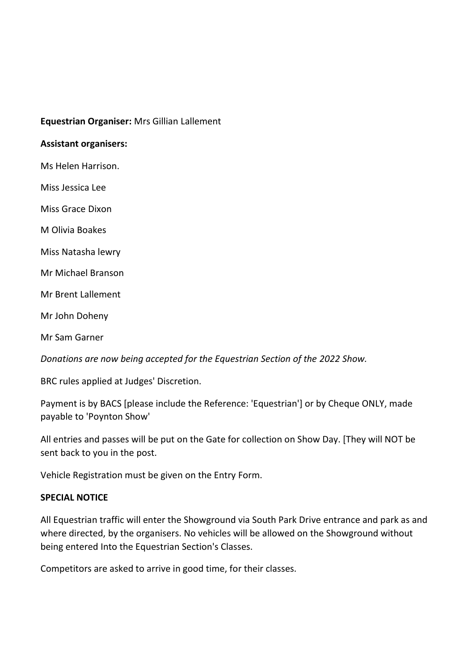#### **Equestrian Organiser:** Mrs Gillian Lallement

#### **Assistant organisers:**

Ms Helen Harrison.

Miss Jessica Lee

Miss Grace Dixon

M Olivia Boakes

Miss Natasha lewry

Mr Michael Branson

Mr Brent Lallement

Mr John Doheny

Mr Sam Garner

*Donations are now being accepted for the Equestrian Section of the 2022 Show.*

BRC rules applied at Judges' Discretion.

Payment is by BACS [please include the Reference: 'Equestrian'] or by Cheque ONLY, made payable to 'Poynton Show'

All entries and passes will be put on the Gate for collection on Show Day. [They will NOT be sent back to you in the post.

Vehicle Registration must be given on the Entry Form.

#### **SPECIAL NOTICE**

All Equestrian traffic will enter the Showground via South Park Drive entrance and park as and where directed, by the organisers. No vehicles will be allowed on the Showground without being entered Into the Equestrian Section's Classes.

Competitors are asked to arrive in good time, for their classes.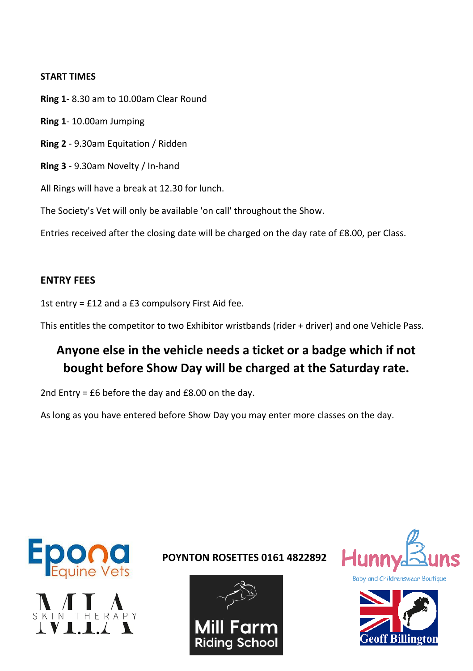#### **START TIMES**

**Ring 1-** 8.30 am to 10.00am Clear Round **Ring 1**- 10.00am Jumping **Ring 2** - 9.30am Equitation / Ridden **Ring 3** - 9.30am Novelty / In-hand

All Rings will have a break at 12.30 for lunch.

The Society's Vet will only be available 'on call' throughout the Show.

Entries received after the closing date will be charged on the day rate of £8.00, per Class.

### **ENTRY FEES**

1st entry = £12 and a £3 compulsory First Aid fee.

This entitles the competitor to two Exhibitor wristbands (rider + driver) and one Vehicle Pass.

## **Anyone else in the vehicle needs a ticket or a badge which if not bought before Show Day will be charged at the Saturday rate.**

2nd Entry = £6 before the day and £8.00 on the day.

As long as you have entered before Show Day you may enter more classes on the day.





**POYNTON ROSETTES 0161 4822892**





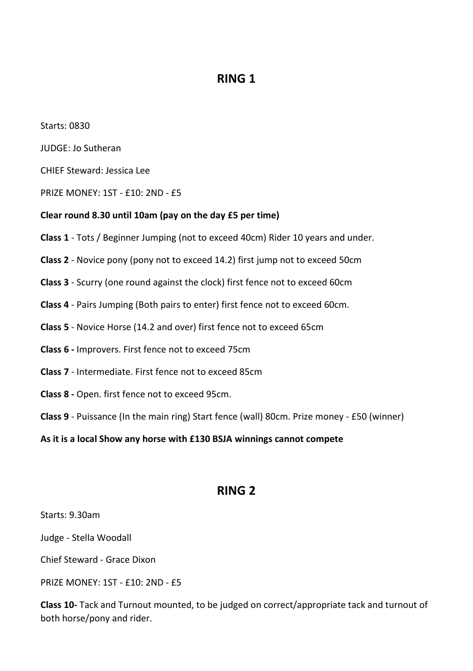## **RING 1**

Starts: 0830

JUDGE: Jo Sutheran

CHIEF Steward: Jessica Lee

PRIZE MONEY: 1ST - £10: 2ND - £5

#### **Clear round 8.30 until 10am (pay on the day £5 per time)**

- **Class 1** Tots / Beginner Jumping (not to exceed 40cm) Rider 10 years and under.
- **Class 2** Novice pony (pony not to exceed 14.2) first jump not to exceed 50cm
- **Class 3** Scurry (one round against the clock) first fence not to exceed 60cm
- **Class 4** Pairs Jumping (Both pairs to enter) first fence not to exceed 60cm.
- **Class 5** Novice Horse (14.2 and over) first fence not to exceed 65cm
- **Class 6 -** Improvers. First fence not to exceed 75cm
- **Class 7** Intermediate. First fence not to exceed 85cm
- **Class 8 -** Open. first fence not to exceed 95cm.
- **Class 9** Puissance (In the main ring) Start fence (wall) 80cm. Prize money £50 (winner)

**As it is a local Show any horse with £130 BSJA winnings cannot compete**

## **RING 2**

Starts: 9.30am

Judge - Stella Woodall

Chief Steward - Grace Dixon

PRIZE MONEY: 1ST - £10: 2ND - £5

**Class 10-** Tack and Turnout mounted, to be judged on correct/appropriate tack and turnout of both horse/pony and rider.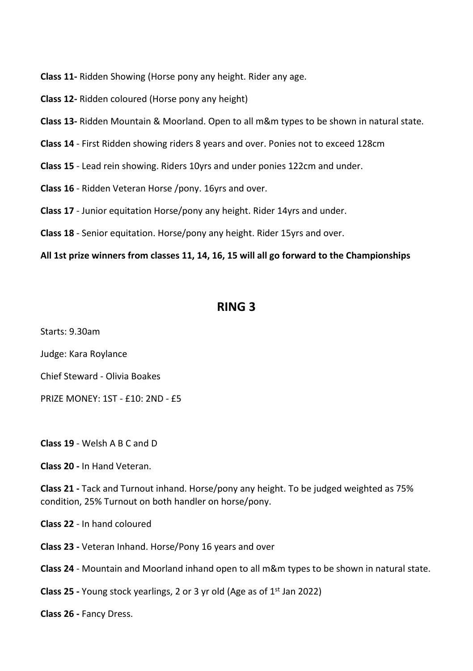**Class 11-** Ridden Showing (Horse pony any height. Rider any age.

- **Class 12-** Ridden coloured (Horse pony any height)
- **Class 13-** Ridden Mountain & Moorland. Open to all m&m types to be shown in natural state.
- **Class 14** First Ridden showing riders 8 years and over. Ponies not to exceed 128cm
- **Class 15** Lead rein showing. Riders 10yrs and under ponies 122cm and under.
- **Class 16** Ridden Veteran Horse /pony. 16yrs and over.
- **Class 17** Junior equitation Horse/pony any height. Rider 14yrs and under.
- **Class 18** Senior equitation. Horse/pony any height. Rider 15yrs and over.

**All 1st prize winners from classes 11, 14, 16, 15 will all go forward to the Championships**

## **RING 3**

Starts: 9.30am

Judge: Kara Roylance

Chief Steward - Olivia Boakes

PRIZE MONEY: 1ST - £10: 2ND - £5

**Class 19** - Welsh A B C and D

**Class 20 -** In Hand Veteran.

**Class 21 -** Tack and Turnout inhand. Horse/pony any height. To be judged weighted as 75% condition, 25% Turnout on both handler on horse/pony.

**Class 22** - In hand coloured

**Class 23 -** Veteran Inhand. Horse/Pony 16 years and over

**Class 24** - Mountain and Moorland inhand open to all m&m types to be shown in natural state.

**Class 25 -** Young stock yearlings, 2 or 3 yr old (Age as of 1<sup>st</sup> Jan 2022)

**Class 26 -** Fancy Dress.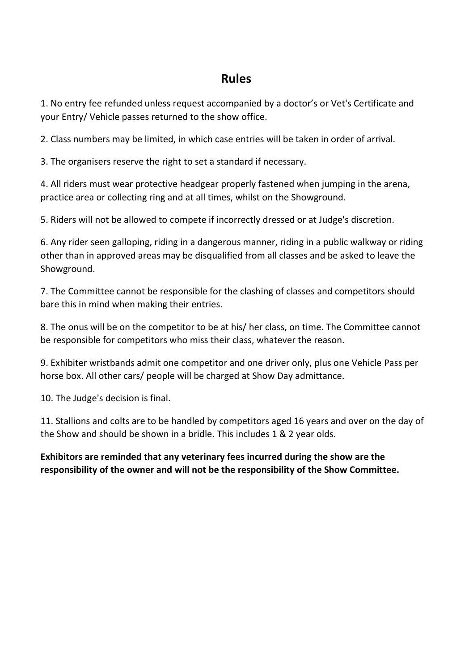## **Rules**

1. No entry fee refunded unless request accompanied by a doctor's or Vet's Certificate and your Entry/ Vehicle passes returned to the show office.

2. Class numbers may be limited, in which case entries will be taken in order of arrival.

3. The organisers reserve the right to set a standard if necessary.

4. All riders must wear protective headgear properly fastened when jumping in the arena, practice area or collecting ring and at all times, whilst on the Showground.

5. Riders will not be allowed to compete if incorrectly dressed or at Judge's discretion.

6. Any rider seen galloping, riding in a dangerous manner, riding in a public walkway or riding other than in approved areas may be disqualified from all classes and be asked to leave the Showground.

7. The Committee cannot be responsible for the clashing of classes and competitors should bare this in mind when making their entries.

8. The onus will be on the competitor to be at his/ her class, on time. The Committee cannot be responsible for competitors who miss their class, whatever the reason.

9. Exhibiter wristbands admit one competitor and one driver only, plus one Vehicle Pass per horse box. All other cars/ people will be charged at Show Day admittance.

10. The Judge's decision is final.

11. Stallions and colts are to be handled by competitors aged 16 years and over on the day of the Show and should be shown in a bridle. This includes 1 & 2 year olds.

**Exhibitors are reminded that any veterinary fees incurred during the show are the responsibility of the owner and will not be the responsibility of the Show Committee.**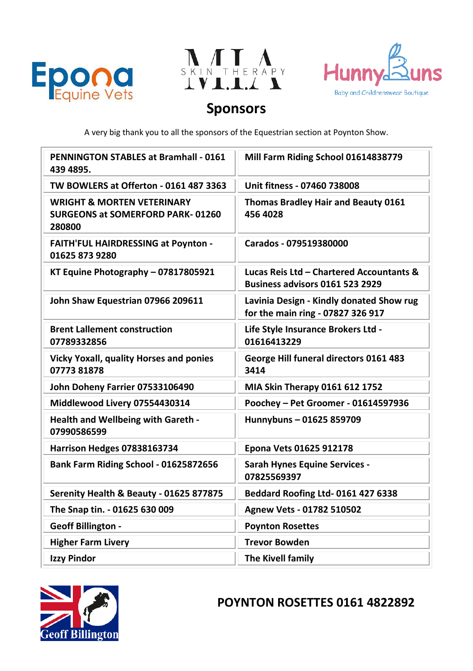





## **Sponsors**

A very big thank you to all the sponsors of the Equestrian section at Poynton Show.

| <b>PENNINGTON STABLES at Bramhall - 0161</b><br>439 4895.                                  | Mill Farm Riding School 01614838779                                           |
|--------------------------------------------------------------------------------------------|-------------------------------------------------------------------------------|
| TW BOWLERS at Offerton - 0161 487 3363                                                     | Unit fitness - 07460 738008                                                   |
| <b>WRIGHT &amp; MORTEN VETERINARY</b><br><b>SURGEONS at SOMERFORD PARK-01260</b><br>280800 | Thomas Bradley Hair and Beauty 0161<br>456 4028                               |
| <b>FAITH'FUL HAIRDRESSING at Poynton -</b><br>01625 873 9280                               | Carados - 079519380000                                                        |
| KT Equine Photography - 07817805921                                                        | Lucas Reis Ltd - Chartered Accountants &<br>Business advisors 0161 523 2929   |
| John Shaw Equestrian 07966 209611                                                          | Lavinia Design - Kindly donated Show rug<br>for the main ring - 07827 326 917 |
| <b>Brent Lallement construction</b><br>07789332856                                         | Life Style Insurance Brokers Ltd -<br>01616413229                             |
| <b>Vicky Yoxall, quality Horses and ponies</b><br>0777381878                               | George Hill funeral directors 0161 483<br>3414                                |
| John Doheny Farrier 07533106490                                                            | MIA Skin Therapy 0161 612 1752                                                |
| Middlewood Livery 07554430314                                                              | Poochey - Pet Groomer - 01614597936                                           |
| Health and Wellbeing with Gareth -<br>07990586599                                          | Hunnybuns-01625 859709                                                        |
| Harrison Hedges 07838163734                                                                | Epona Vets 01625 912178                                                       |
| Bank Farm Riding School - 01625872656                                                      | <b>Sarah Hynes Equine Services -</b><br>07825569397                           |
| Serenity Health & Beauty - 01625 877875                                                    | Beddard Roofing Ltd-0161 427 6338                                             |
| The Snap tin. - 01625 630 009                                                              | Agnew Vets - 01782 510502                                                     |
| <b>Geoff Billington -</b>                                                                  | <b>Poynton Rosettes</b>                                                       |
| <b>Higher Farm Livery</b>                                                                  | <b>Trevor Bowden</b>                                                          |
| <b>Izzy Pindor</b>                                                                         | The Kivell family                                                             |



## **POYNTON ROSETTES 0161 4822892**